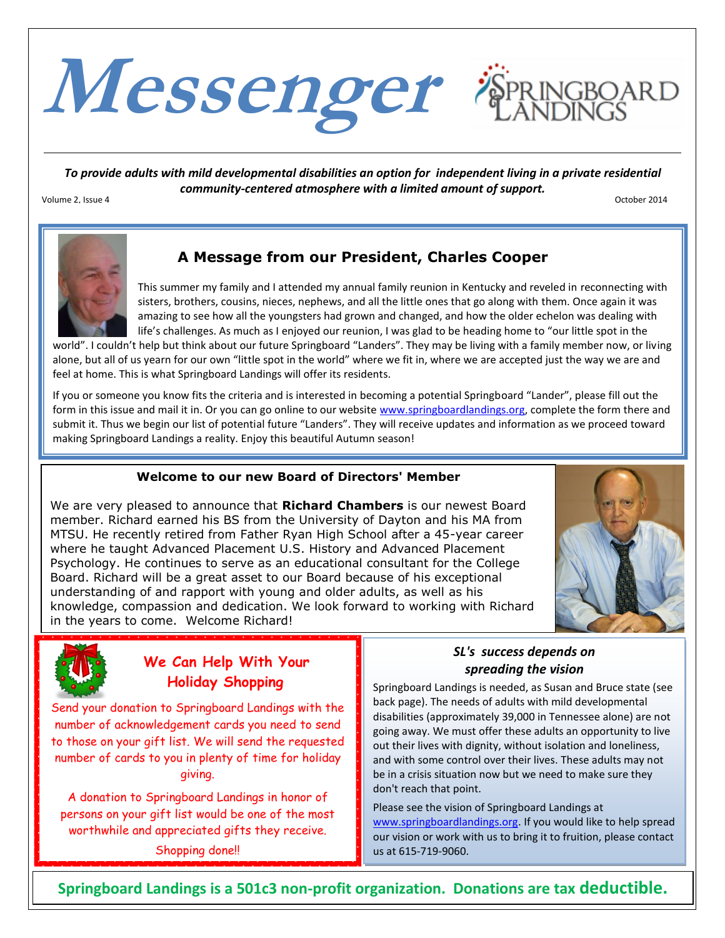

*To provide adults with mild developmental disabilities an option for independent living in a private residential community-centered atmosphere with a limited amount of support.*

Volume 2, Issue 4 October 2014



## **A Message from our President, Charles Cooper**

This summer my family and I attended my annual family reunion in Kentucky and reveled in reconnecting with sisters, brothers, cousins, nieces, nephews, and all the little ones that go along with them. Once again it was amazing to see how all the youngsters had grown and changed, and how the older echelon was dealing with life's challenges. As much as I enjoyed our reunion, I was glad to be heading home to "our little spot in the

world". I couldn't help but think about our future Springboard "Landers". They may be living with a family member now, or living alone, but all of us yearn for our own "little spot in the world" where we fit in, where we are accepted just the way we are and feel at home. This is what Springboard Landings will offer its residents.

If you or someone you know fits the criteria and is interested in becoming a potential Springboard "Lander", please fill out the form in this issue and mail it in. Or you can go online to our website [www.springboardlandings.org,](http://www.springboardlandings.org/) complete the form there and submit it. Thus we begin our list of potential future "Landers". They will receive updates and information as we proceed toward making Springboard Landings a reality. Enjoy this beautiful Autumn season!

### **Welcome to our new Board of Directors' Member**

We are very pleased to announce that **Richard Chambers** is our newest Board member. Richard earned his BS from the University of Dayton and his MA from MTSU. He recently retired from Father Ryan High School after a 45-year career where he taught Advanced Placement U.S. History and Advanced Placement Psychology. He continues to serve as an educational consultant for the College Board. Richard will be a great asset to our Board because of his exceptional understanding of and rapport with young and older adults, as well as his knowledge, compassion and dedication. We look forward to working with Richard in the years to come. Welcome Richard!





## **We Can Help With Your Holiday Shopping**

Send your donation to Springboard Landings with the number of acknowledgement cards you need to send to those on your gift list. We will send the requested number of cards to you in plenty of time for holiday giving.

persons on your gift list would be one of the most A donation to Springboard Landings in honor of worthwhile and appreciated gifts they receive.

Shopping done!!

## *SL's success depends on spreading the vision*

Springboard Landings is needed, as Susan and Bruce state (see back page). The needs of adults with mild developmental disabilities (approximately 39,000 in Tennessee alone) are not going away. We must offer these adults an opportunity to live out their lives with dignity, without isolation and loneliness, and with some control over their lives. These adults may not be in a crisis situation now but we need to make sure they don't reach that point.

Please see the vision of Springboard Landings at [www.springboardlandings.org.](http://www.springboardlandings.org/) If you would like to help spread our vision or work with us to bring it to fruition, please contact us at 615-719-9060.

**Springboard Landings is a 501c3 non-profit organization. Donations are tax deductible.**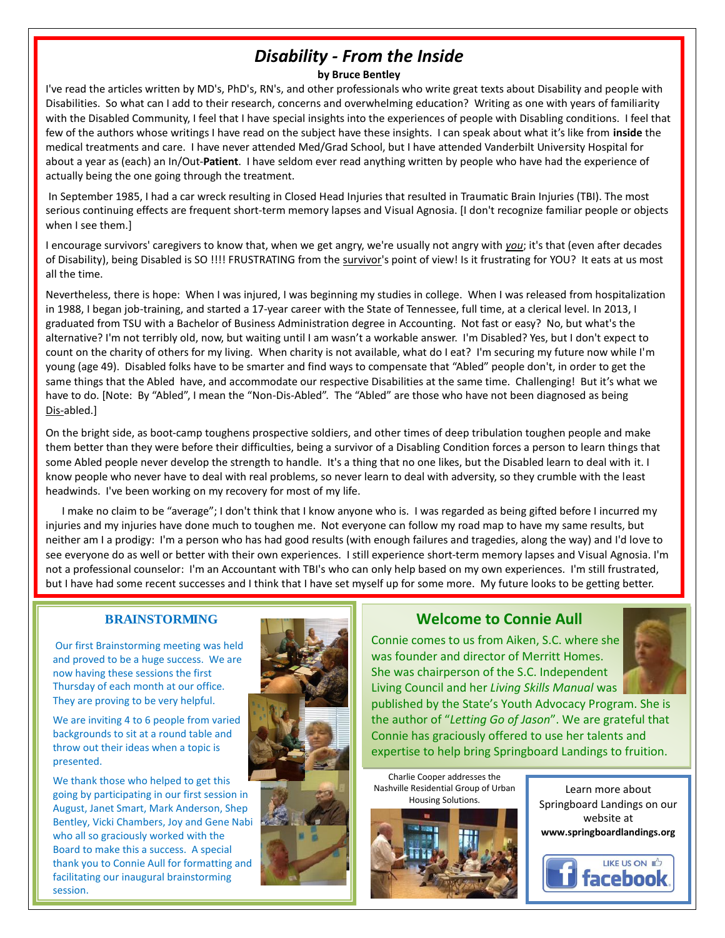# *Disability - From the Inside*

#### **by Bruce Bentley**

I've read the articles written by MD's, PhD's, RN's, and other professionals who write great texts about Disability and people with Disabilities. So what can I add to their research, concerns and overwhelming education? Writing as one with years of familiarity with the Disabled Community, I feel that I have special insights into the experiences of people with Disabling conditions. I feel that few of the authors whose writings I have read on the subject have these insights. I can speak about what it's like from **inside** the medical treatments and care. I have never attended Med/Grad School, but I have attended Vanderbilt University Hospital for about a year as (each) an In/Out-**Patient**. I have seldom ever read anything written by people who have had the experience of actually being the one going through the treatment.

In September 1985, I had a car wreck resulting in Closed Head Injuries that resulted in Traumatic Brain Injuries (TBI). The most serious continuing effects are frequent short-term memory lapses and Visual Agnosia. [I don't recognize familiar people or objects when I see them.]

I encourage survivors' caregivers to know that, when we get angry, we're usually not angry with *you*; it's that (even after decades of Disability), being Disabled is SO !!!! FRUSTRATING from the survivor's point of view! Is it frustrating for YOU? It eats at us most all the time.

Nevertheless, there is hope: When I was injured, I was beginning my studies in college. When I was released from hospitalization in 1988, I began job-training, and started a 17-year career with the State of Tennessee, full time, at a clerical level. In 2013, I graduated from TSU with a Bachelor of Business Administration degree in Accounting. Not fast or easy? No, but what's the alternative? I'm not terribly old, now, but waiting until I am wasn't a workable answer. I'm Disabled? Yes, but I don't expect to count on the charity of others for my living. When charity is not available, what do I eat? I'm securing my future now while I'm young (age 49). Disabled folks have to be smarter and find ways to compensate that "Abled" people don't, in order to get the same things that the Abled have, and accommodate our respective Disabilities at the same time. Challenging! But it's what we have to do. [Note: By "Abled", I mean the "Non-Dis-Abled". The "Abled" are those who have not been diagnosed as being Dis-abled.]

On the bright side, as boot-camp toughens prospective soldiers, and other times of deep tribulation toughen people and make them better than they were before their difficulties, being a survivor of a Disabling Condition forces a person to learn things that some Abled people never develop the strength to handle. It's a thing that no one likes, but the Disabled learn to deal with it. I know people who never have to deal with real problems, so never learn to deal with adversity, so they crumble with the least headwinds. I've been working on my recovery for most of my life.

 I make no claim to be "average"; I don't think that I know anyone who is. I was regarded as being gifted before I incurred my injuries and my injuries have done much to toughen me. Not everyone can follow my road map to have my same results, but neither am I a prodigy: I'm a person who has had good results (with enough failures and tragedies, along the way) and I'd love to see everyone do as well or better with their own experiences. I still experience short-term memory lapses and Visual Agnosia. I'm not a professional counselor: I'm an Accountant with TBI's who can only help based on my own experiences. I'm still frustrated, but I have had some recent successes and I think that I have set myself up for some more. My future looks to be getting better.

### **BRAINSTORMING**

Our first Brainstorming meeting was held and proved to be a huge success. We are now having these sessions the first Thursday of each month at our office. They are proving to be very helpful.

We are inviting 4 to 6 people from varied backgrounds to sit at a round table and throw out their ideas when a topic is presented.

We thank those who helped to get this going by participating in our first session in August, Janet Smart, Mark Anderson, Shep Bentley, Vicki Chambers, Joy and Gene Nabi who all so graciously worked with the Board to make this a success. A special thank you to Connie Aull for formatting and facilitating our inaugural brainstorming session.



### **Welcome to Connie Aull**

Connie comes to us from Aiken, S.C. where she was founder and director of Merritt Homes. She was chairperson of the S.C. Independent Living Council and her *Living Skills Manual* was



published by the State's Youth Advocacy Program. She is the author of "*Letting Go of Jason*". We are grateful that Connie has graciously offered to use her talents and expertise to help bring Springboard Landings to fruition.

Charlie Cooper addresses the Nashville Residential Group of Urban Housing Solutions.



Learn more about Springboard Landings on our website at **www.springboardlandings.org**

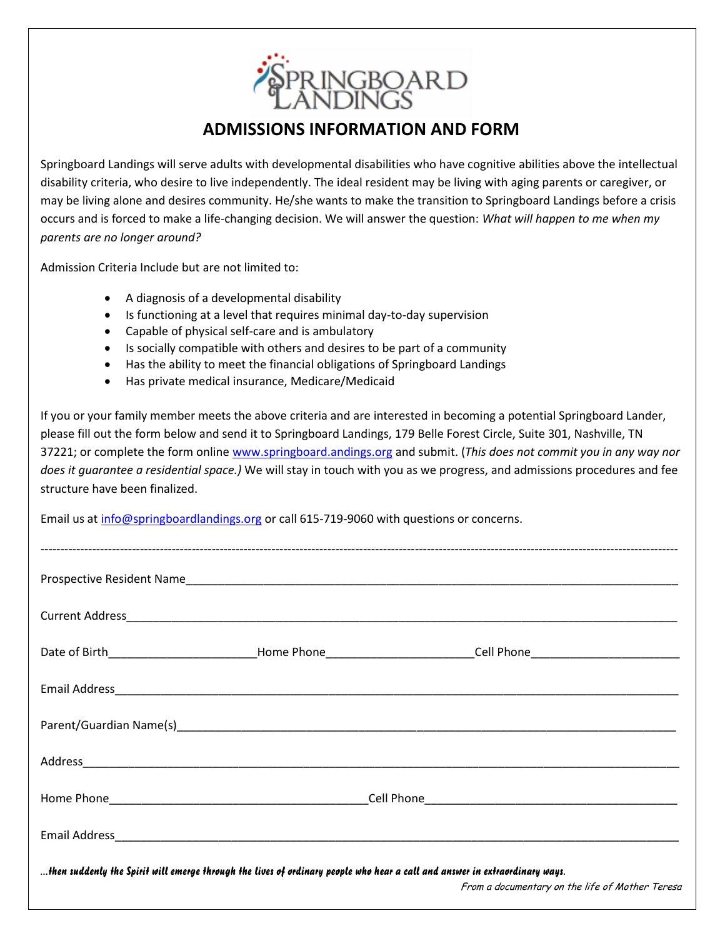

## **ADMISSIONS INFORMATION AND FORM**

Springboard Landings will serve adults with developmental disabilities who have cognitive abilities above the intellectual disability criteria, who desire to live independently. The ideal resident may be living with aging parents or caregiver, or may be living alone and desires community. He/she wants to make the transition to Springboard Landings before a crisis occurs and is forced to make a life-changing decision. We will answer the question: *What will happen to me when my parents are no longer around?*

Admission Criteria Include but are not limited to:

- A diagnosis of a developmental disability
- Is functioning at a level that requires minimal day-to-day supervision
- Capable of physical self-care and is ambulatory
- Is socially compatible with others and desires to be part of a community
- Has the ability to meet the financial obligations of Springboard Landings
- Has private medical insurance, Medicare/Medicaid

If you or your family member meets the above criteria and are interested in becoming a potential Springboard Lander, please fill out the form below and send it to Springboard Landings, 179 Belle Forest Circle, Suite 301, Nashville, TN 37221; or complete the form online [www.springboard.andings.org](http://www.springboard.andings.org/) and submit. (*This does not commit you in any way nor does it guarantee a residential space.)* We will stay in touch with you as we progress, and admissions procedures and fee structure have been finalized.

Email us at [info@springboardlandings.org](mailto:info@springboardlandings.org) or call 615-719-9060 with questions or concerns.

|                                                                                                                                                                                |  | Prospective Resident Name                                                                                      |
|--------------------------------------------------------------------------------------------------------------------------------------------------------------------------------|--|----------------------------------------------------------------------------------------------------------------|
|                                                                                                                                                                                |  |                                                                                                                |
|                                                                                                                                                                                |  | Date of Birth____________________________Home Phone___________________________Cell Phone______________________ |
|                                                                                                                                                                                |  |                                                                                                                |
|                                                                                                                                                                                |  |                                                                                                                |
|                                                                                                                                                                                |  |                                                                                                                |
|                                                                                                                                                                                |  |                                                                                                                |
|                                                                                                                                                                                |  |                                                                                                                |
| then suddenly the Spirit will emerge through the lives of ordinary people who hear a call and answer in extraordinary ways.<br>From a documentary on the life of Mother Teresa |  |                                                                                                                |